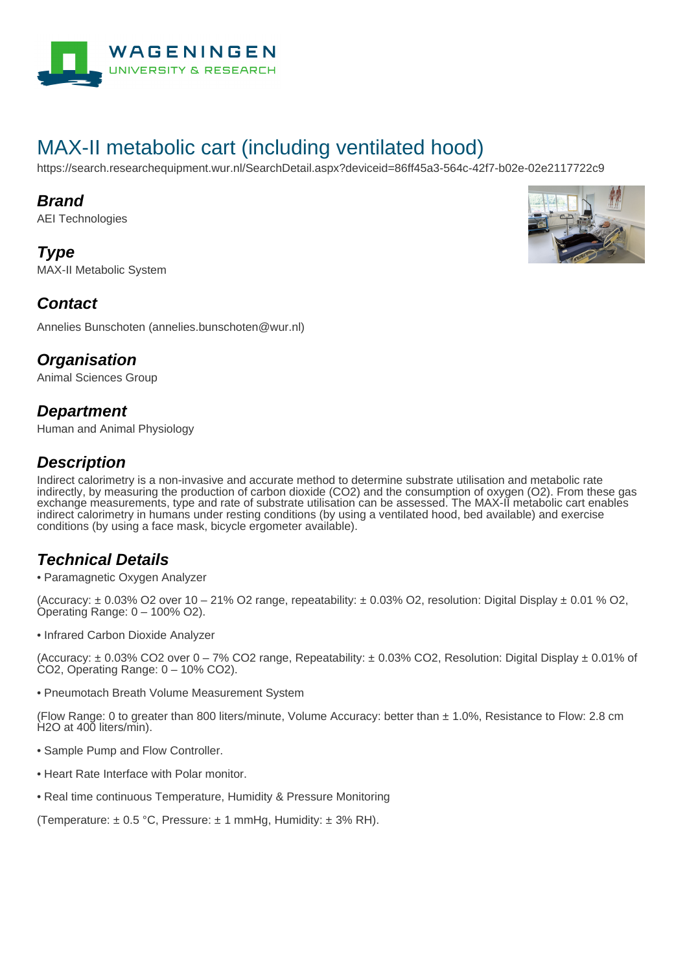

# MAX-II metabolic cart (including ventilated hood)

https://search.researchequipment.wur.nl/SearchDetail.aspx?deviceid=86ff45a3-564c-42f7-b02e-02e2117722c9

#### **Brand**

AEI Technologies

**Type** MAX-II Metabolic System



### **Contact**

Annelies Bunschoten (annelies.bunschoten@wur.nl)

### **Organisation**

Animal Sciences Group

### **Department**

Human and Animal Physiology

## **Description**

Indirect calorimetry is a non-invasive and accurate method to determine substrate utilisation and metabolic rate indirectly, by measuring the production of carbon dioxide (CO2) and the consumption of oxygen (O2). From these gas exchange measurements, type and rate of substrate utilisation can be assessed. The MAX-II metabolic cart enables indirect calorimetry in humans under resting conditions (by using a ventilated hood, bed available) and exercise conditions (by using a face mask, bicycle ergometer available).

## **Technical Details**

• Paramagnetic Oxygen Analyzer

(Accuracy:  $\pm$  0.03% O2 over 10 – 21% O2 range, repeatability:  $\pm$  0.03% O2, resolution: Digital Display  $\pm$  0.01 % O2, Operating Range: 0 – 100% O2).

• Infrared Carbon Dioxide Analyzer

(Accuracy:  $\pm$  0.03% CO2 over 0 – 7% CO2 range, Repeatability:  $\pm$  0.03% CO2, Resolution: Digital Display  $\pm$  0.01% of CO2, Operating Range: 0 – 10% CO2).

• Pneumotach Breath Volume Measurement System

(Flow Range: 0 to greater than 800 liters/minute, Volume Accuracy: better than ± 1.0%, Resistance to Flow: 2.8 cm H2O at 400 liters/min).

- Sample Pump and Flow Controller.
- Heart Rate Interface with Polar monitor.
- Real time continuous Temperature, Humidity & Pressure Monitoring

(Temperature:  $\pm$  0.5 °C, Pressure:  $\pm$  1 mmHg, Humidity:  $\pm$  3% RH).